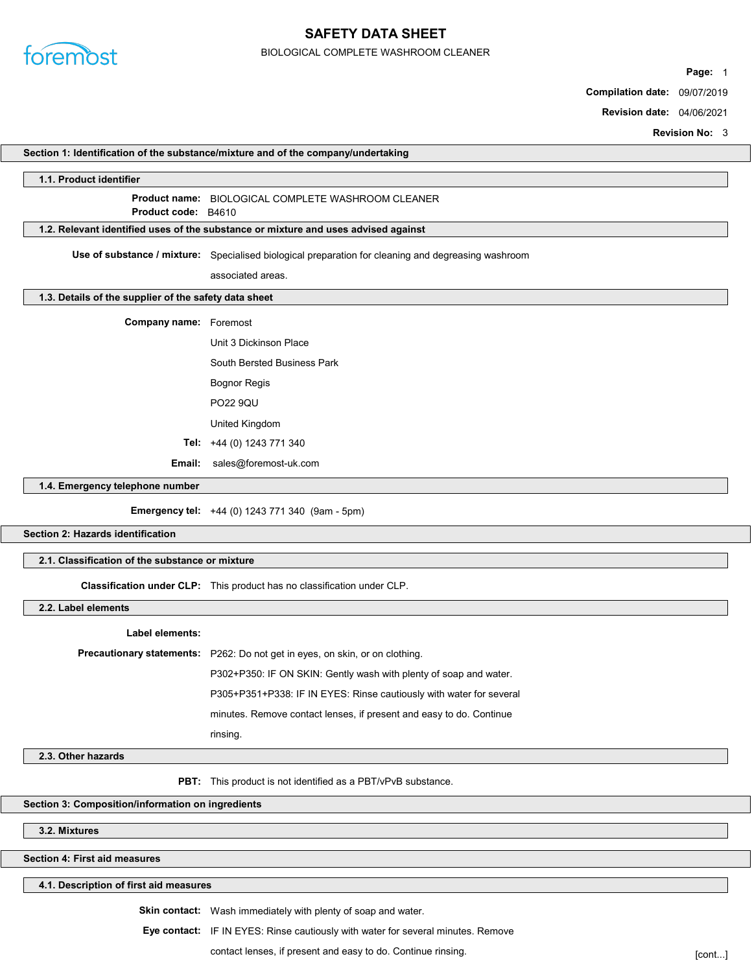

# SAFETY DATA SHEET

#### BIOLOGICAL COMPLETE WASHROOM CLEANER

Page: 1

Compilation date: 09/07/2019

Revision date: 04/06/2021

Revision No: 3

| Section 1: Identification of the substance/mixture and of the company/undertaking |                                                                                                                                            |  |
|-----------------------------------------------------------------------------------|--------------------------------------------------------------------------------------------------------------------------------------------|--|
| 1.1. Product identifier                                                           |                                                                                                                                            |  |
|                                                                                   | Product name: BIOLOGICAL COMPLETE WASHROOM CLEANER                                                                                         |  |
| Product code: B4610                                                               |                                                                                                                                            |  |
|                                                                                   | 1.2. Relevant identified uses of the substance or mixture and uses advised against                                                         |  |
|                                                                                   | Use of substance / mixture: Specialised biological preparation for cleaning and degreasing washroom                                        |  |
|                                                                                   | associated areas.                                                                                                                          |  |
| 1.3. Details of the supplier of the safety data sheet                             |                                                                                                                                            |  |
| <b>Company name:</b> Foremost                                                     |                                                                                                                                            |  |
|                                                                                   | Unit 3 Dickinson Place                                                                                                                     |  |
|                                                                                   | South Bersted Business Park                                                                                                                |  |
|                                                                                   | <b>Bognor Regis</b>                                                                                                                        |  |
|                                                                                   | <b>PO22 9QU</b>                                                                                                                            |  |
|                                                                                   | United Kingdom                                                                                                                             |  |
|                                                                                   | Tel: +44 (0) 1243 771 340                                                                                                                  |  |
| Email:                                                                            | sales@foremost-uk.com                                                                                                                      |  |
| 1.4. Emergency telephone number                                                   |                                                                                                                                            |  |
|                                                                                   | Emergency tel: +44 (0) 1243 771 340 (9am - 5pm)                                                                                            |  |
| <b>Section 2: Hazards identification</b>                                          |                                                                                                                                            |  |
| 2.1. Classification of the substance or mixture                                   |                                                                                                                                            |  |
|                                                                                   | Classification under CLP: This product has no classification under CLP.                                                                    |  |
| 2.2. Label elements                                                               |                                                                                                                                            |  |
| <b>Label elements:</b>                                                            |                                                                                                                                            |  |
|                                                                                   | Precautionary statements: P262: Do not get in eyes, on skin, or on clothing.                                                               |  |
|                                                                                   |                                                                                                                                            |  |
|                                                                                   |                                                                                                                                            |  |
|                                                                                   | P302+P350: IF ON SKIN: Gently wash with plenty of soap and water.                                                                          |  |
|                                                                                   | P305+P351+P338: IF IN EYES: Rinse cautiously with water for several<br>minutes. Remove contact lenses, if present and easy to do. Continue |  |
|                                                                                   | rinsing.                                                                                                                                   |  |
| 2.3. Other hazards                                                                |                                                                                                                                            |  |
|                                                                                   |                                                                                                                                            |  |
|                                                                                   | <b>PBT:</b> This product is not identified as a PBT/vPvB substance.                                                                        |  |
| Section 3: Composition/information on ingredients                                 |                                                                                                                                            |  |
| 3.2. Mixtures                                                                     |                                                                                                                                            |  |
| <b>Section 4: First aid measures</b>                                              |                                                                                                                                            |  |

Skin contact: Wash immediately with plenty of soap and water.

Eye contact: IF IN EYES: Rinse cautiously with water for several minutes. Remove

contact lenses, if present and easy to do. Continue rinsing. The state of the context of cont...]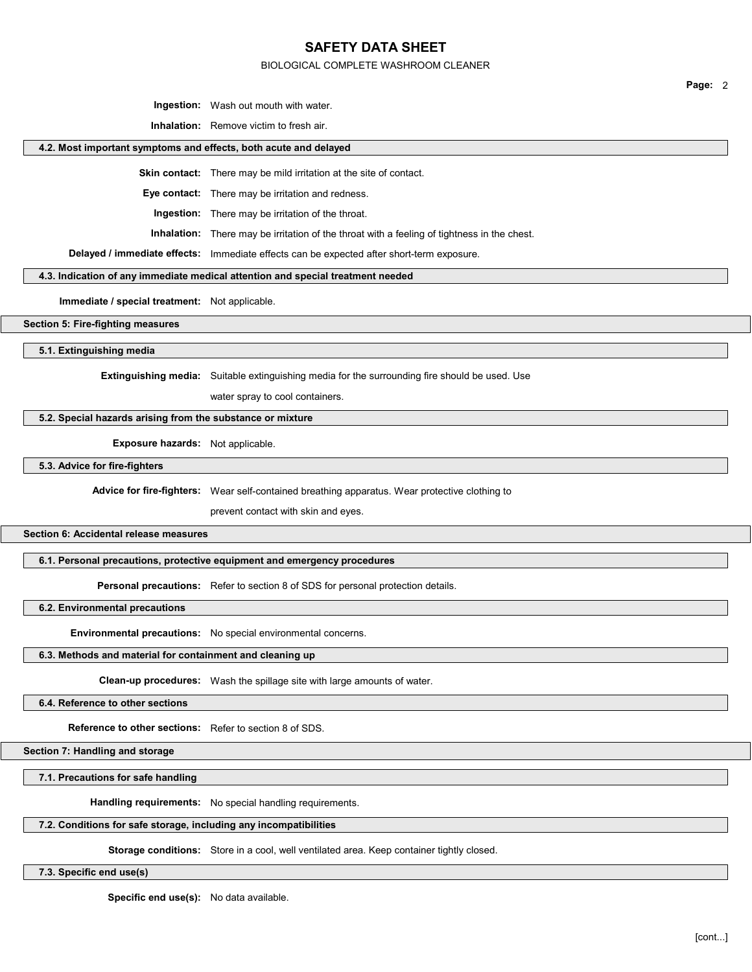#### BIOLOGICAL COMPLETE WASHROOM CLEANER

Ingestion: Wash out mouth with water.

Inhalation: Remove victim to fresh air.

#### 4.2. Most important symptoms and effects, both acute and delayed

Skin contact: There may be mild irritation at the site of contact.

Eye contact: There may be irritation and redness.

Ingestion: There may be irritation of the throat.

Inhalation: There may be irritation of the throat with a feeling of tightness in the chest.

Delayed / immediate effects: Immediate effects can be expected after short-term exposure.

### 4.3. Indication of any immediate medical attention and special treatment needed

Immediate / special treatment: Not applicable.

Section 5: Fire-fighting measures

5.1. Extinguishing media

**Extinguishing media:** Suitable extinguishing media for the surrounding fire should be used. Use

water spray to cool containers.

#### 5.2. Special hazards arising from the substance or mixture

Exposure hazards: Not applicable.

5.3. Advice for fire-fighters

Advice for fire-fighters: Wear self-contained breathing apparatus. Wear protective clothing to

prevent contact with skin and eyes.

Section 6: Accidental release measures

6.1. Personal precautions, protective equipment and emergency procedures

Personal precautions: Refer to section 8 of SDS for personal protection details.

6.2. Environmental precautions

Environmental precautions: No special environmental concerns.

### 6.3. Methods and material for containment and cleaning up

Clean-up procedures: Wash the spillage site with large amounts of water.

6.4. Reference to other sections

Reference to other sections: Refer to section 8 of SDS.

Section 7: Handling and storage

7.1. Precautions for safe handling

Handling requirements: No special handling requirements.

#### 7.2. Conditions for safe storage, including any incompatibilities

Storage conditions: Store in a cool, well ventilated area. Keep container tightly closed.

7.3. Specific end use(s)

Specific end use(s): No data available.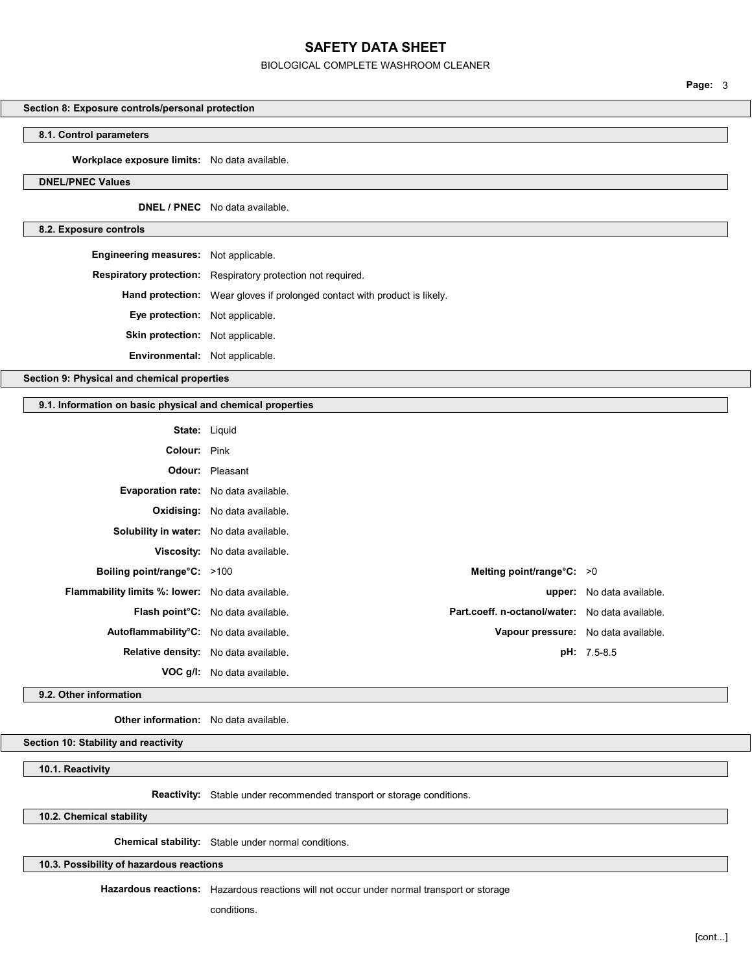## BIOLOGICAL COMPLETE WASHROOM CLEANER

Section 8: Exposure controls/personal protection

## 8.1. Control parameters

Workplace exposure limits: No data available.

### DNEL/PNEC Values

DNEL / PNEC No data available.

#### 8.2. Exposure controls

| <b>Engineering measures:</b> Not applicable. |                                                                                  |  |
|----------------------------------------------|----------------------------------------------------------------------------------|--|
|                                              | <b>Respiratory protection:</b> Respiratory protection not required.              |  |
|                                              | <b>Hand protection:</b> Wear gloves if prolonged contact with product is likely. |  |
| Eye protection: Not applicable.              |                                                                                  |  |
| <b>Skin protection:</b> Not applicable.      |                                                                                  |  |
| <b>Environmental:</b> Not applicable.        |                                                                                  |  |
|                                              |                                                                                  |  |

Section 9: Physical and chemical properties

## 9.1. Information on basic physical and chemical properties

| <b>State:</b> Liquid                                    |                                                |                                                 |                           |
|---------------------------------------------------------|------------------------------------------------|-------------------------------------------------|---------------------------|
| Colour: Pink                                            |                                                |                                                 |                           |
|                                                         | <b>Odour:</b> Pleasant                         |                                                 |                           |
| Evaporation rate: No data available.                    |                                                |                                                 |                           |
|                                                         | <b>Oxidising:</b> No data available.           |                                                 |                           |
| Solubility in water: No data available.                 |                                                |                                                 |                           |
|                                                         | <b>Viscosity:</b> No data available.           |                                                 |                           |
| Boiling point/range°C: >100                             |                                                | Melting point/range $\textdegree$ C: >0         |                           |
| <b>Flammability limits %: lower:</b> No data available. |                                                |                                                 | upper: No data available. |
|                                                         | Flash point <sup>°</sup> C: No data available. | Part.coeff. n-octanol/water: No data available. |                           |
| Autoflammability <sup>o</sup> C: No data available.     |                                                | Vapour pressure: No data available.             |                           |
| Relative density: No data available.                    |                                                |                                                 | <b>pH:</b> 7.5-8.5        |
|                                                         | <b>VOC g/l:</b> No data available.             |                                                 |                           |

9.2. Other information

Other information: No data available.

Section 10: Stability and reactivity

10.1. Reactivity

Reactivity: Stable under recommended transport or storage conditions.

10.2. Chemical stability

Chemical stability: Stable under normal conditions.

10.3. Possibility of hazardous reactions

Hazardous reactions: Hazardous reactions will not occur under normal transport or storage

conditions.

Page: 3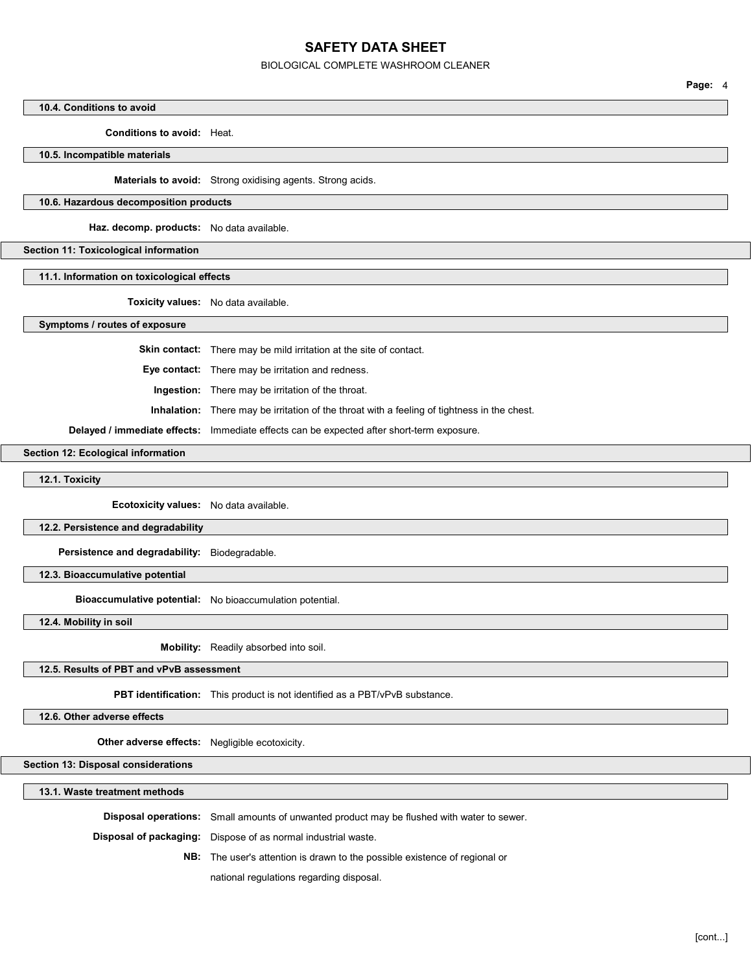#### BIOLOGICAL COMPLETE WASHROOM CLEANER

#### 10.4. Conditions to avoid

Conditions to avoid: Heat.

10.5. Incompatible materials

Materials to avoid: Strong oxidising agents. Strong acids.

#### 10.6. Hazardous decomposition products

Haz. decomp. products: No data available.

#### Section 11: Toxicological information

#### 11.1. Information on toxicological effects

Toxicity values: No data available.

Symptoms / routes of exposure

Skin contact: There may be mild irritation at the site of contact.

Eye contact: There may be irritation and redness.

Ingestion: There may be irritation of the throat.

Inhalation: There may be irritation of the throat with a feeling of tightness in the chest.

Delayed / immediate effects: Immediate effects can be expected after short-term exposure.

#### Section 12: Ecological information

12.1. Toxicity

Ecotoxicity values: No data available.

#### 12.2. Persistence and degradability

Persistence and degradability: Biodegradable.

### 12.3. Bioaccumulative potential

Bioaccumulative potential: No bioaccumulation potential.

12.4. Mobility in soil

Mobility: Readily absorbed into soil.

## 12.5. Results of PBT and vPvB assessment

PBT identification: This product is not identified as a PBT/vPvB substance.

#### 12.6. Other adverse effects

Other adverse effects: Negligible ecotoxicity.

Section 13: Disposal considerations

13.1. Waste treatment methods

Disposal operations: Small amounts of unwanted product may be flushed with water to sewer.

Disposal of packaging: Dispose of as normal industrial waste.

NB: The user's attention is drawn to the possible existence of regional or

national regulations regarding disposal.

Page: 4